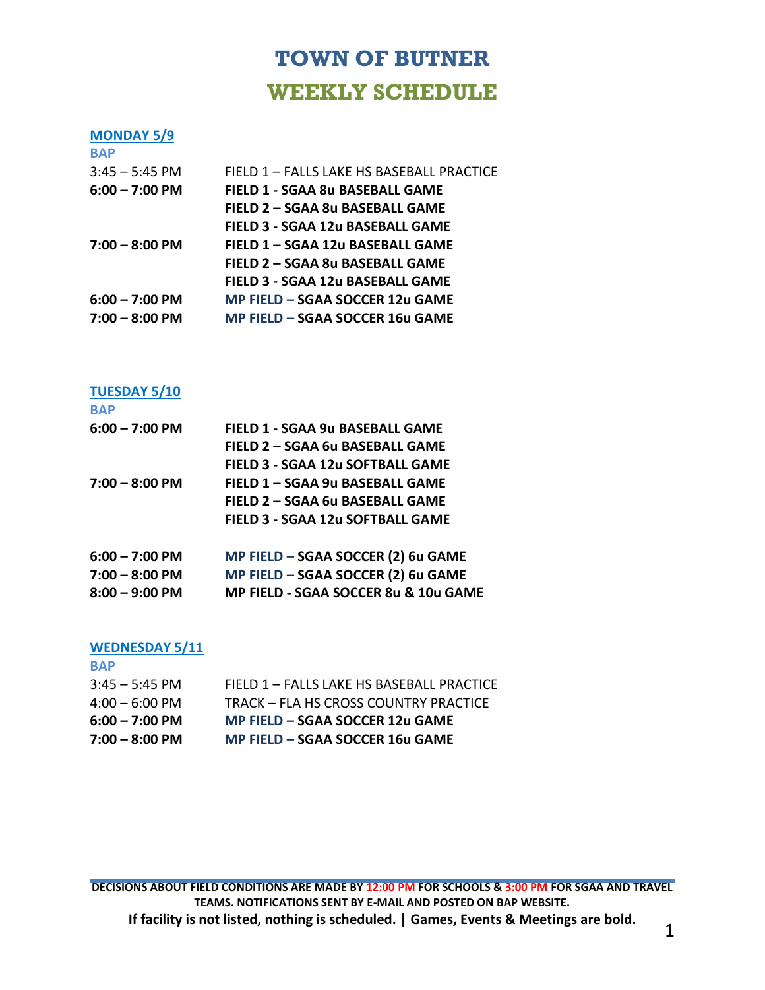# **TOWN OF BUTNER**

## **WEEKLY SCHEDULE**

#### **MONDAY 5/9 BAP**

| $3:45 - 5:45$ PM         | FIELD 1 - FALLS LAKE HS BASEBALL PRACTICE |
|--------------------------|-------------------------------------------|
| $6:00 - 7:00$ PM         | FIELD 1 - SGAA 8u BASEBALL GAME           |
|                          | FIELD 2 - SGAA 8u BASEBALL GAME           |
|                          | FIELD 3 - SGAA 12u BASEBALL GAME          |
| $7:00 - 8:00$ PM         | FIELD 1 - SGAA 12u BASEBALL GAME          |
|                          | FIELD 2 - SGAA 8u BASEBALL GAME           |
|                          | FIELD 3 - SGAA 12u BASEBALL GAME          |
| $6:00 - 7:00$ PM         | MP FIELD - SGAA SOCCER 12u GAME           |
| $7:00 - 8:00 \text{ PM}$ | MP FIELD - SGAA SOCCER 16u GAME           |
|                          |                                           |

### **TUESDAY 5/10**

| <b>BAP</b>               |                                         |
|--------------------------|-----------------------------------------|
| $6:00 - 7:00$ PM         | FIELD 1 - SGAA 9u BASEBALL GAME         |
|                          | FIELD 2 - SGAA 6u BASEBALL GAME         |
|                          | FIELD 3 - SGAA 12u SOFTBALL GAME        |
| $7:00 - 8:00 \text{ PM}$ | FIELD 1 - SGAA 9u BASEBALL GAME         |
|                          | FIELD 2 - SGAA 6u BASEBALL GAME         |
|                          | <b>FIELD 3 - SGAA 12u SOFTBALL GAME</b> |
| $6:00 - 7:00$ PM         | MP FIELD - SGAA SOCCER (2) 6u GAME      |
| $7:00 - 8:00$ PM         | MP FIELD - SGAA SOCCER (2) 6u GAME      |
| $8:00 - 9:00$ PM         | MP FIELD - SGAA SOCCER 8u & 10u GAME    |
|                          |                                         |

## **WEDNESDAY 5/11**

| <b>BAP</b>               |                                           |
|--------------------------|-------------------------------------------|
| $3:45 - 5:45$ PM         | FIELD 1 - FALLS LAKE HS BASEBALL PRACTICE |
| $4:00 - 6:00$ PM         | TRACK - FLA HS CROSS COUNTRY PRACTICE     |
| $6:00 - 7:00$ PM         | MP FIELD – SGAA SOCCER 12u GAME           |
| $7:00 - 8:00 \text{ PM}$ | MP FIELD - SGAA SOCCER 16u GAME           |

**DECISIONS ABOUT FIELD CONDITIONS ARE MADE BY 12:00 PM FOR SCHOOLS & 3:00 PM FOR SGAA AND TRAVEL TEAMS. NOTIFICATIONS SENT BY E-MAIL AND POSTED ON BAP WEBSITE. If facility is not listed, nothing is scheduled. | Games, Events & Meetings are bold.** 1